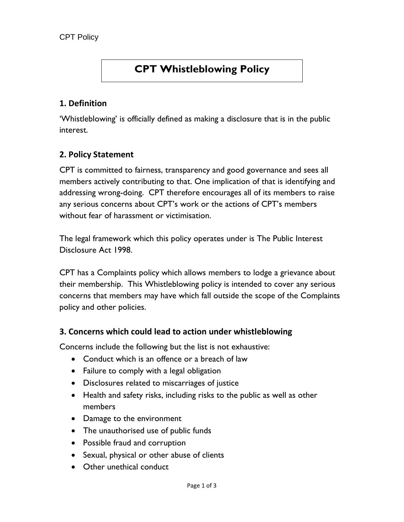# **CPT Whistleblowing Policy**

### **1. Definition**

'Whistleblowing' is officially defined as making a disclosure that is in the public interest.

### **2. Policy Statement**

CPT is committed to fairness, transparency and good governance and sees all members actively contributing to that. One implication of that is identifying and addressing wrong-doing. CPT therefore encourages all of its members to raise any serious concerns about CPT's work or the actions of CPT's members without fear of harassment or victimisation.

The legal framework which this policy operates under is The Public Interest Disclosure Act 1998.

CPT has a Complaints policy which allows members to lodge a grievance about their membership. This Whistleblowing policy is intended to cover any serious concerns that members may have which fall outside the scope of the Complaints policy and other policies.

#### **3. Concerns which could lead to action under whistleblowing**

Concerns include the following but the list is not exhaustive:

- Conduct which is an offence or a breach of law
- Failure to comply with a legal obligation
- Disclosures related to miscarriages of justice
- Health and safety risks, including risks to the public as well as other members
- Damage to the environment
- The unauthorised use of public funds
- Possible fraud and corruption
- Sexual, physical or other abuse of clients
- Other unethical conduct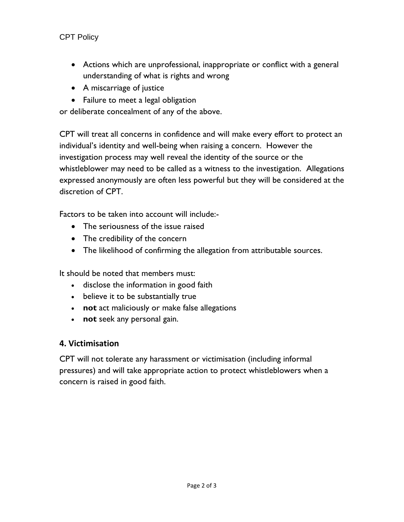### CPT Policy

- Actions which are unprofessional, inappropriate or conflict with a general understanding of what is rights and wrong
- A miscarriage of justice
- Failure to meet a legal obligation

or deliberate concealment of any of the above.

CPT will treat all concerns in confidence and will make every effort to protect an individual's identity and well-being when raising a concern. However the investigation process may well reveal the identity of the source or the whistleblower may need to be called as a witness to the investigation. Allegations expressed anonymously are often less powerful but they will be considered at the discretion of CPT.

Factors to be taken into account will include:-

- The seriousness of the issue raised
- The credibility of the concern
- The likelihood of confirming the allegation from attributable sources.

It should be noted that members must:

- disclose the information in good faith
- believe it to be substantially true
- **not** act maliciously or make false allegations
- **not** seek any personal gain.

## **4. Victimisation**

CPT will not tolerate any harassment or victimisation (including informal pressures) and will take appropriate action to protect whistleblowers when a concern is raised in good faith.